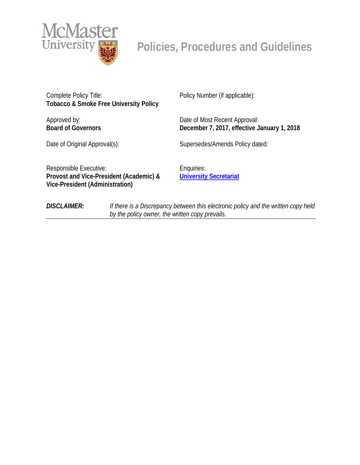

Complete Policy Title: **Tobacco & Smoke Free University Policy**

Approved by: **Board of Governors** Policy Number (if applicable):

Date of Most Recent Approval: **December 7, 2017, effective January 1, 2018**

Date of Original Approval(s): Supersedes/Amends Policy dated:

Responsible Executive: **Provost and Vice-President (Academic) & Vice-President (Administration)**

Enquiries: **[University Secretariat](mailto:policy@mcmaster.ca?subject=Policy%20on%20the%20Prevention%20of%20Discrimination,%20Harassment%20and%20Sexual%20Harassment)**

*DISCLAIMER: If there is a Discrepancy between this electronic policy and the written copy held by the policy owner, the written copy prevails.*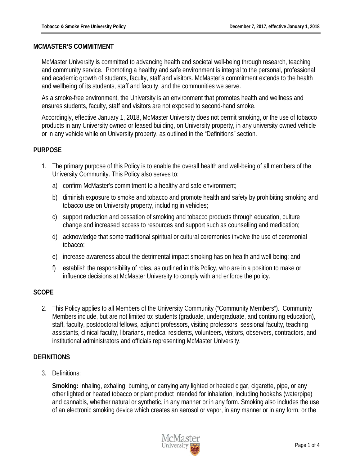#### **MCMASTER'S COMMITMENT**

McMaster University is committed to advancing health and societal well-being through research, teaching and community service. Promoting a healthy and safe environment is integral to the personal, professional and academic growth of students, faculty, staff and visitors. McMaster's commitment extends to the health and wellbeing of its students, staff and faculty, and the communities we serve.

As a smoke-free environment, the University is an environment that promotes health and wellness and ensures students, faculty, staff and visitors are not exposed to second-hand smoke.

Accordingly, effective January 1, 2018, McMaster University does not permit smoking, or the use of tobacco products in any University owned or leased building, on University property, in any university owned vehicle or in any vehicle while on University property, as outlined in the "Definitions" section.

#### **PURPOSE**

- 1. The primary purpose of this Policy is to enable the overall health and well-being of all members of the University Community. This Policy also serves to:
	- a) confirm McMaster's commitment to a healthy and safe environment;
	- b) diminish exposure to smoke and tobacco and promote health and safety by prohibiting smoking and tobacco use on University property, including in vehicles;
	- c) support reduction and cessation of smoking and tobacco products through education, culture change and increased access to resources and support such as counselling and medication;
	- d) acknowledge that some traditional spiritual or cultural ceremonies involve the use of ceremonial tobacco;
	- e) increase awareness about the detrimental impact smoking has on health and well-being; and
	- f) establish the responsibility of roles, as outlined in this Policy, who are in a position to make or influence decisions at McMaster University to comply with and enforce the policy.

#### **SCOPE**

2. This Policy applies to all Members of the University Community ("Community Members"). Community Members include, but are not limited to: students (graduate, undergraduate, and continuing education), staff, faculty, postdoctoral fellows, adjunct professors, visiting professors, sessional faculty, teaching assistants, clinical faculty, librarians, medical residents, volunteers, visitors, observers, contractors, and institutional administrators and officials representing McMaster University.

## **DEFINITIONS**

3. Definitions:

**Smoking:** Inhaling, exhaling, burning, or carrying any lighted or heated cigar, cigarette, pipe, or any other lighted or heated tobacco or plant product intended for inhalation, including hookahs (waterpipe) and cannabis, whether natural or synthetic, in any manner or in any form. Smoking also includes the use of an electronic smoking device which creates an aerosol or vapor, in any manner or in any form, or the

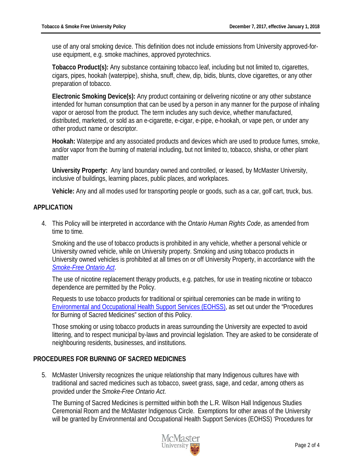use of any oral smoking device. This definition does not include emissions from University approved-foruse equipment, e.g. smoke machines, approved pyrotechnics.

**Tobacco Product(s):** Any substance containing tobacco leaf, including but not limited to, cigarettes, cigars, pipes, hookah (waterpipe), shisha, snuff, chew, dip, bidis, blunts, clove cigarettes, or any other preparation of tobacco.

**Electronic Smoking Device(s):** Any product containing or delivering nicotine or any other substance intended for human consumption that can be used by a person in any manner for the purpose of inhaling vapor or aerosol from the product. The term includes any such device, whether manufactured, distributed, marketed, or sold as an e-cigarette, e-cigar, e-pipe, e-hookah, or vape pen, or under any other product name or descriptor.

**Hookah:** Waterpipe and any associated products and devices which are used to produce fumes, smoke, and/or vapor from the burning of material including, but not limited to, tobacco, shisha, or other plant matter

**University Property:** Any land boundary owned and controlled, or leased, by McMaster University, inclusive of buildings, learning places, public places, and workplaces.

**Vehicle:** Any and all modes used for transporting people or goods, such as a car, golf cart, truck, bus.

## **APPLICATION**

4. This Policy will be interpreted in accordance with the *Ontario Human Rights Code*, as amended from time to time*.*

Smoking and the use of tobacco products is prohibited in any vehicle, whether a personal vehicle or University owned vehicle, while on University property. Smoking and using tobacco products in University owned vehicles is prohibited at all times on or off University Property, in accordance with the *[Smoke-Free Ontario Act](https://www.ontario.ca/laws/statute/94t10)*.

The use of nicotine replacement therapy products, e.g. patches, for use in treating nicotine or tobacco dependence are permitted by the Policy.

Requests to use tobacco products for traditional or spiritual ceremonies can be made in writing to [Environmental and Occupational Health Support Services \(EOHSS\),](http://www.workingatmcmaster.ca/eohss/index.php) as set out under the "Procedures for Burning of Sacred Medicines" section of this Policy.

Those smoking or using tobacco products in areas surrounding the University are expected to avoid littering, and to respect municipal by-laws and provincial legislation. They are asked to be considerate of neighbouring residents, businesses, and institutions.

## **PROCEDURES FOR BURNING OF SACRED MEDICINES**

5. McMaster University recognizes the unique relationship that many Indigenous cultures have with traditional and sacred medicines such as tobacco, sweet grass, sage, and cedar, among others as provided under the *Smoke-Free Ontario Act*.

The Burning of Sacred Medicines is permitted within both the L.R. Wilson Hall Indigenous Studies Ceremonial Room and the McMaster Indigenous Circle. Exemptions for other areas of the University will be granted by Environmental and Occupational Health Support Services (EOHSS) 'Procedures for

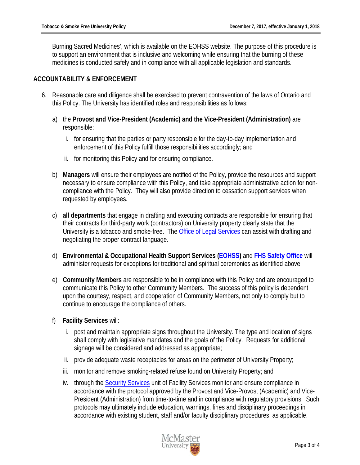Burning Sacred Medicines', which is available on the EOHSS website. The purpose of this procedure is to support an environment that is inclusive and welcoming while ensuring that the burning of these medicines is conducted safely and in compliance with all applicable legislation and standards.

#### **ACCOUNTABILITY & ENFORCEMENT**

- 6. Reasonable care and diligence shall be exercised to prevent contravention of the laws of Ontario and this Policy. The University has identified roles and responsibilities as follows:
	- a) the **Provost and Vice-President (Academic) and the Vice-President (Administration)** are responsible:
		- i. for ensuring that the parties or party responsible for the day-to-day implementation and enforcement of this Policy fulfill those responsibilities accordingly; and
		- ii. for monitoring this Policy and for ensuring compliance.
	- b) **Managers** will ensure their employees are notified of the Policy, provide the resources and support necessary to ensure compliance with this Policy, and take appropriate administrative action for noncompliance with the Policy. They will also provide direction to cessation support services when requested by employees.
	- c) **all departments** that engage in drafting and executing contracts are responsible for ensuring that their contracts for third-party work (contractors) on University property clearly state that the University is a tobacco and smoke-free. The [Office of Legal Services](http://www.mcmaster.ca/ols/) can assist with drafting and negotiating the proper contract language.
	- d) **Environmental & Occupational Health Support Services [\(EOHSS\)](http://www.workingatmcmaster.ca/eohss/index.php)** and **[FHS Safety Office](https://fhs.mcmaster.ca/safetyoffice/)** will administer requests for exceptions for traditional and spiritual ceremonies as identified above.
	- e) **Community Members** are responsible to be in compliance with this Policy and are encouraged to communicate this Policy to other Community Members. The success of this policy is dependent upon the courtesy, respect, and cooperation of Community Members, not only to comply but to continue to encourage the compliance of others.
	- f) **Facility Services** will:
		- i. post and maintain appropriate signs throughout the University. The type and location of signs shall comply with legislative mandates and the goals of the Policy. Requests for additional signage will be considered and addressed as appropriate;
		- ii. provide adequate waste receptacles for areas on the perimeter of University Property;
		- iii. monitor and remove smoking-related refuse found on University Property; and
		- iv. through the **Security Services** unit of Facility Services monitor and ensure compliance in accordance with the protocol approved by the Provost and Vice-Provost (Academic) and Vice-President (Administration) from time-to-time and in compliance with regulatory provisions. Such protocols may ultimately include education, warnings, fines and disciplinary proceedings in accordance with existing student, staff and/or faculty disciplinary procedures, as applicable.